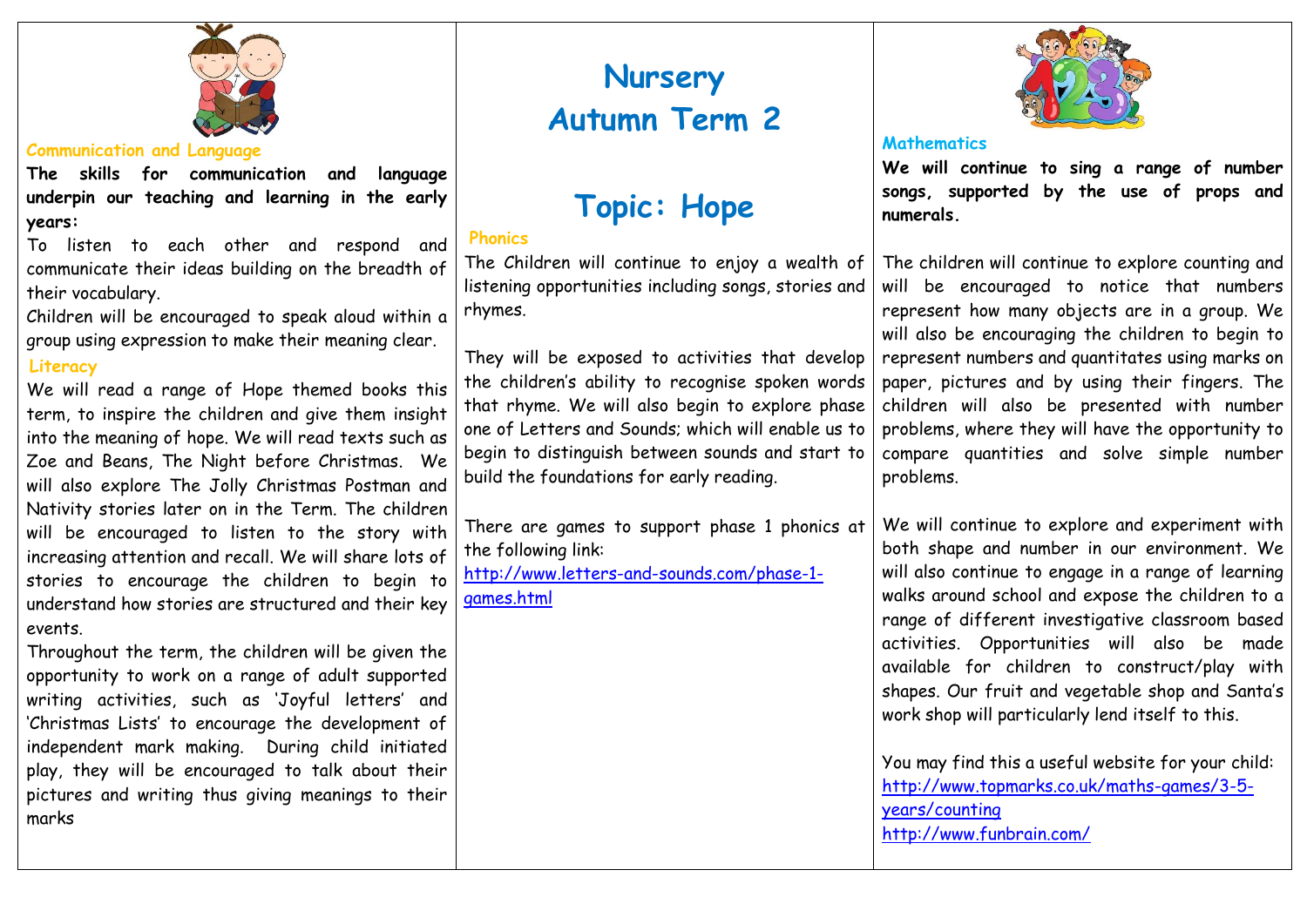

## **Communication and Language**

**The skills for communication and language underpin our teaching and learning in the early years:**

To listen to each other and respond and communicate their ideas building on the breadth of their vocabulary.

Children will be encouraged to speak aloud within a group using expression to make their meaning clear.

# **Literacy**

We will read a range of Hope themed books this term, to inspire the children and give them insight into the meaning of hope. We will read texts such as Zoe and Beans, The Night before Christmas. We will also explore The Jolly Christmas Postman and Nativity stories later on in the Term. The children will be encouraged to listen to the story with increasing attention and recall. We will share lots of stories to encourage the children to begin to understand how stories are structured and their key events.

Throughout the term, the children will be given the opportunity to work on a range of adult supported writing activities, such as 'Joyful letters' and 'Christmas Lists' to encourage the development of independent mark making. During child initiated play, they will be encouraged to talk about their pictures and writing thus giving meanings to their marks

# **Nursery Autumn Term 2**

# **Topic: Hope**

# **Phonics**

The Children will continue to enjoy a wealth of listening opportunities including songs, stories and rhymes.

They will be exposed to activities that develop the children's ability to recognise spoken words that rhyme. We will also begin to explore phase one of Letters and Sounds; which will enable us to begin to distinguish between sounds and start to build the foundations for early reading.

There are games to support phase 1 phonics at the following link:

[http://www.letters-and-sounds.com/phase-1](http://www.letters-and-sounds.com/phase-1-games.html) [games.html](http://www.letters-and-sounds.com/phase-1-games.html)



## **Mathematics**

**We will continue to sing a range of number songs, supported by the use of props and numerals.** 

The children will continue to explore counting and will be encouraged to notice that numbers represent how many objects are in a group. We will also be encouraging the children to begin to represent numbers and quantitates using marks on paper, pictures and by using their fingers. The children will also be presented with number problems, where they will have the opportunity to compare quantities and solve simple number problems.

We will continue to explore and experiment with both shape and number in our environment. We will also continue to engage in a range of learning walks around school and expose the children to a range of different investigative classroom based activities. Opportunities will also be made available for children to construct/play with shapes. Our fruit and vegetable shop and Santa's work shop will particularly lend itself to this.

You may find this a useful website for your child: [http://www.topmarks.co.uk/maths-games/3-5](http://www.topmarks.co.uk/maths-games/3-5-years/counting) [years/counting](http://www.topmarks.co.uk/maths-games/3-5-years/counting) <http://www.funbrain.com/>